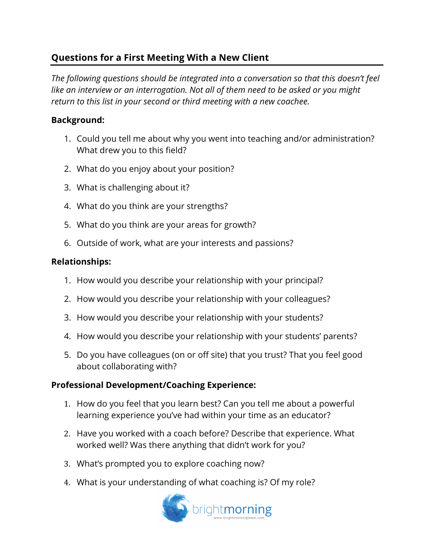# **Questions for a First Meeting With a New Client**

*The following questions should be integrated into a conversation so that this doesn't feel like an interview or an interrogation. Not all of them need to be asked or you might return to this list in your second or third meeting with a new coachee.* 

#### **Background:**

- 1. Could you tell me about why you went into teaching and/or administration? What drew you to this field?
- 2. What do you enjoy about your position?
- 3. What is challenging about it?
- 4. What do you think are your strengths?
- 5. What do you think are your areas for growth?
- 6. Outside of work, what are your interests and passions?

### **Relationships:**

- 1. How would you describe your relationship with your principal?
- 2. How would you describe your relationship with your colleagues?
- 3. How would you describe your relationship with your students?
- 4. How would you describe your relationship with your students' parents?
- 5. Do you have colleagues (on or off site) that you trust? That you feel good about collaborating with?

## **Professional Development/Coaching Experience:**

- 1. How do you feel that you learn best? Can you tell me about a powerful learning experience you've had within your time as an educator?
- 2. Have you worked with a coach before? Describe that experience. What worked well? Was there anything that didn't work for you?
- 3. What's prompted you to explore coaching now?
- 4. What is your understanding of what coaching is? Of my role?